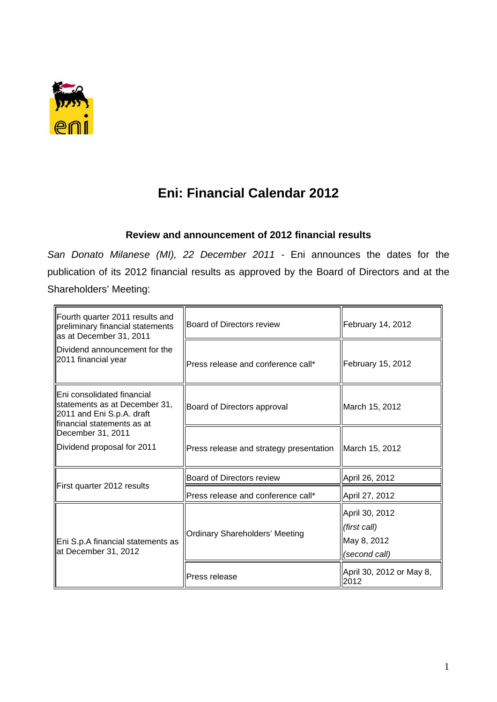

## **Eni: Financial Calendar 2012**

## **Review and announcement of 2012 financial results**

*San Donato Milanese (MI), 22 December 2011* - Eni announces the dates for the publication of its 2012 financial results as approved by the Board of Directors and at the Shareholders' Meeting:

| Fourth quarter 2011 results and<br>preliminary financial statements<br>as at December 31, 2011                          | Board of Directors review               | February 14, 2012                                              |
|-------------------------------------------------------------------------------------------------------------------------|-----------------------------------------|----------------------------------------------------------------|
| Dividend announcement for the<br>2011 financial year                                                                    | Press release and conference call*      | February 15, 2012                                              |
| Eni consolidated financial<br>statements as at December 31,<br>2011 and Eni S.p.A. draft<br>lfinancial statements as at | Board of Directors approval             | March 15, 2012                                                 |
| December 31, 2011                                                                                                       |                                         |                                                                |
| Dividend proposal for 2011                                                                                              | Press release and strategy presentation | March 15, 2012                                                 |
| First quarter 2012 results                                                                                              | Board of Directors review               | April 26, 2012                                                 |
|                                                                                                                         | Press release and conference call*      | April 27, 2012                                                 |
| Eni S.p.A financial statements as<br>at December 31, 2012                                                               | <b>Ordinary Shareholders' Meeting</b>   | April 30, 2012<br>(first call)<br>May 8, 2012<br>(second call) |
|                                                                                                                         | Press release                           | April 30, 2012 or May 8,<br>2012                               |